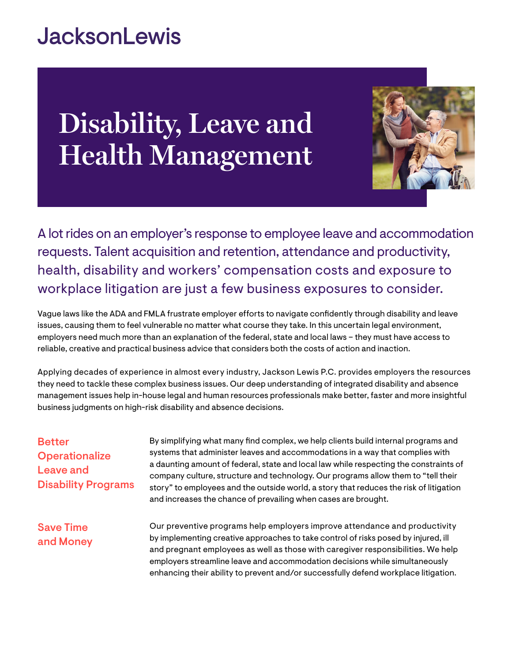## **JacksonLewis**

# **Disability, Leave and Health Management**



A lot rides on an employer's response to employee leave and accommodation requests. Talent acquisition and retention, attendance and productivity, health, disability and workers' compensation costs and exposure to workplace litigation are just a few business exposures to consider.

Vague laws like the ADA and FMLA frustrate employer efforts to navigate confidently through disability and leave issues, causing them to feel vulnerable no matter what course they take. In this uncertain legal environment, employers need much more than an explanation of the federal, state and local laws – they must have access to reliable, creative and practical business advice that considers both the costs of action and inaction.

Applying decades of experience in almost every industry, Jackson Lewis P.C. provides employers the resources they need to tackle these complex business issues. Our deep understanding of integrated disability and absence management issues help in-house legal and human resources professionals make better, faster and more insightful business judgments on high-risk disability and absence decisions.

| <b>Better</b><br><b>Operationalize</b><br>Leave and<br><b>Disability Programs</b> | By simplifying what many find complex, we help clients build internal programs and<br>systems that administer leaves and accommodations in a way that complies with<br>a daunting amount of federal, state and local law while respecting the constraints of<br>company culture, structure and technology. Our programs allow them to "tell their<br>story" to employees and the outside world, a story that reduces the risk of litigation<br>and increases the chance of prevailing when cases are brought. |
|-----------------------------------------------------------------------------------|---------------------------------------------------------------------------------------------------------------------------------------------------------------------------------------------------------------------------------------------------------------------------------------------------------------------------------------------------------------------------------------------------------------------------------------------------------------------------------------------------------------|
| <b>Save Time</b><br>and Money                                                     | Our preventive programs help employers improve attendance and productivity<br>by implementing creative approaches to take control of risks posed by injured, ill<br>and pregnant employees as well as those with caregiver responsibilities. We help<br>employers streamline leave and accommodation decisions while simultaneously<br>enhancing their ability to prevent and/or successfully defend workplace litigation.                                                                                    |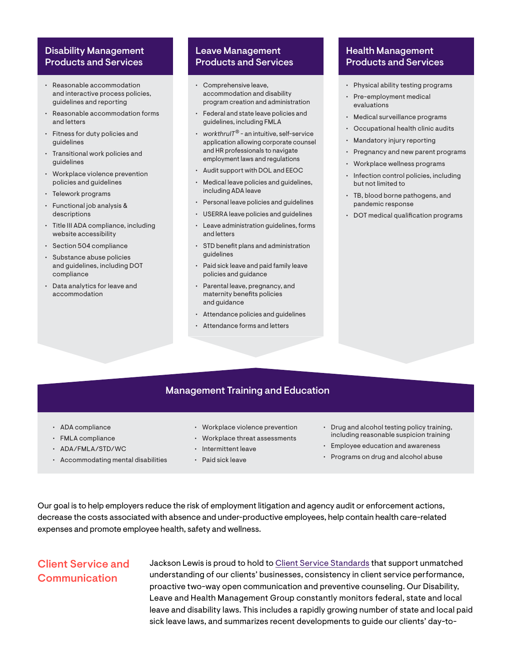#### Disability Management Products and Services

- Reasonable accommodation and interactive process policies, guidelines and reporting
- Reasonable accommodation forms and letters
- Fitness for duty policies and guidelines
- Transitional work policies and guidelines
- Workplace violence prevention policies and guidelines
- Telework programs
- Functional job analysis & descriptions
- Title III ADA compliance, including website accessibility
- Section 504 compliance
- Substance abuse policies and guidelines, including DOT compliance
- Data analytics for leave and accommodation

#### Leave Management Products and Services

- Comprehensive leave, accommodation and disability program creation and administration
- Federal and state leave policies and guidelines, including FMLA
- *• workthruIT*® an intuitive, self-service application allowing corporate counsel and HR professionals to navigate employment laws and regulations
- Audit support with DOL and EEOC
- Medical leave policies and guidelines, including ADA leave
- Personal leave policies and guidelines
- USERRA leave policies and guidelines
- Leave administration guidelines, forms and letters
- STD benefit plans and administration guidelines
- Paid sick leave and paid family leave policies and guidance
- Parental leave, pregnancy, and maternity benefits policies and guidance
- Attendance policies and guidelines
- Attendance forms and letters

#### Health Management Products and Services

- Physical ability testing programs
- Pre-employment medical evaluations
- Medical surveillance programs
- Occupational health clinic audits
- Mandatory injury reporting
- Pregnancy and new parent programs
- Workplace wellness programs
- Infection control policies, including but not limited to
- TB, blood borne pathogens, and pandemic response
- DOT medical qualification programs

#### Management Training and Education

- ADA compliance
- FMLA compliance
- ADA/FMLA/STD/WC
- Accommodating mental disabilities
- Workplace violence prevention
- Workplace threat assessments
- Intermittent leave
- Paid sick leave
- Drug and alcohol testing policy training, including reasonable suspicion training
- Employee education and awareness
- Programs on drug and alcohol abuse

Our goal is to help employers reduce the risk of employment litigation and agency audit or enforcement actions, decrease the costs associated with absence and under-productive employees, help contain health care-related expenses and promote employee health, safety and wellness.

#### Client Service and Communication

Jackson Lewis is proud to hold to [Client Service Standards](https://www.jacksonlewis.com/sites/default/files/docs/JL_ClientServiceStandards_0.pdf) that support unmatched understanding of our clients' businesses, consistency in client service performance, proactive two-way open communication and preventive counseling. Our Disability, Leave and Health Management Group constantly monitors federal, state and local leave and disability laws. This includes a rapidly growing number of state and local paid sick leave laws, and summarizes recent developments to guide our clients' day-to-